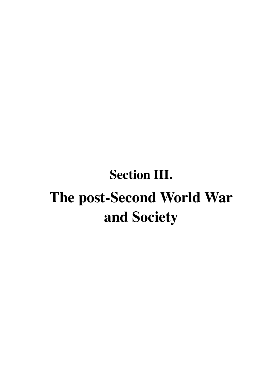# **Section III. The post-Second World War and Society**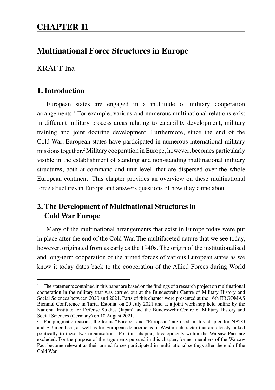# **Multinational Force Structures in Europe**

## KRAFT Ina

## **1. Introduction**

European states are engaged in a multitude of military cooperation arrangements.1 For example, various and numerous multinational relations exist in different military process areas relating to capability development, military training and joint doctrine development. Furthermore, since the end of the Cold War, European states have participated in numerous international military missions together.2 Military cooperation in Europe, however, becomes particularly visible in the establishment of standing and non-standing multinational military structures, both at command and unit level, that are dispersed over the whole European continent. This chapter provides an overview on these multinational force structures in Europe and answers questions of how they came about.

# **2. The Development of Multinational Structures in Cold War Europe**

Many of the multinational arrangements that exist in Europe today were put in place after the end of the Cold War.The multifaceted nature that we see today, however, originated from as early as the 1940s. The origin of the institutionalised and long-term cooperation of the armed forces of various European states as we know it today dates back to the cooperation of the Allied Forces during World

<sup>&</sup>lt;sup>1</sup> The statements contained in this paper are based on the findings of a research project on multinational cooperation in the military that was carried out at the Bundeswehr Centre of Military History and Social Sciences between 2020 and 2021. Parts of this chapter were presented at the 16th ERGOMAS Biennial Conference in Tartu, Estonia, on 20 July 2021 and at a joint workshop held online by the National Institute for Defense Studies (Japan) and the Bundeswehr Centre of Military History and Social Sciences (Germany) on 10 August 2021.

<sup>&</sup>lt;sup>2</sup> For pragmatic reasons, the terms "Europe" and "European" are used in this chapter for NATO and EU members, as well as for European democracies of Western character that are closely linked politically to these two organisations. For this chapter, developments within the Warsaw Pact are excluded. For the purpose of the arguments pursued in this chapter, former members of the Warsaw Pact become relevant as their armed forces participated in multinational settings after the end of the Cold War.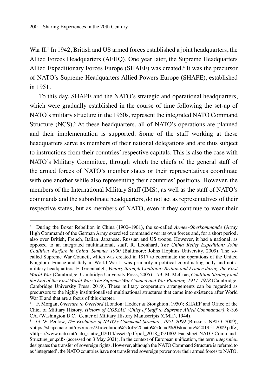War II.<sup>3</sup> In 1942, British and US armed forces established a joint headquarters, the Allied Forces Headquarters (AFHQ). One year later, the Supreme Headquarters Allied Expeditionary Forces Europe (SHAEF) was created.<sup>4</sup> It was the precursor of NATO's Supreme Headquarters Allied Powers Europe (SHAPE), established in 1951.

To this day, SHAPE and the NATO's strategic and operational headquarters, which were gradually established in the course of time following the set-up of NATO's military structure in the 1950s, represent the integrated NATO Command Structure (NCS).<sup>5</sup> At these headquarters, all of NATO's operations are planned and their implementation is supported. Some of the staff working at these headquarters serve as members of their national delegations and are thus subject to instructions from their countries' respective capitals. This is also the case with NATO's Military Committee, through which the chiefs of the general staff of the armed forces of NATO's member states or their representatives coordinate with one another while also representing their countries' positions. However, the members of the International Military Staff (IMS), as well as the staff of NATO's commands and the subordinate headquarters, do not act as representatives of their respective states, but as members of NATO, even if they continue to wear their

<sup>3</sup> During the Boxer Rebellion in China (1900–1901), the so-called *Armee-Oberkommando* (Army High Command) of the German Army exercised command over its own forces and, for a short period, also over British, French, Italian, Japanese, Russian and US troops. However, it had a national, as opposed to an integrated multinational, staff; R. Leonhard, *The China Relief Expedition: Joint Coalition Warfare in China, Summer 1900* (Baltimore: Johns Hopkins University, 2009). The socalled Supreme War Council, which was created in 1917 to coordinate the operations of the United Kingdom, France and Italy in World War I, was primarily a political coordinating body and not a military headquarters; E. Greenhalgh, *Victory through Coalition: Britain and France during the First World War* (Cambridge: Cambridge University Press, 2005), 173; M. McCrae, *Coalition Strategy and the End of the First World War: The Supreme War Council and War Planning, 1917–1918* (Cambridge: Cambridge University Press, 2019). These military cooperation arrangements can be regarded as precursors to the highly institutionalised multinational structures that came into existence after World War II and that are a focus of this chapter.

<sup>4</sup> F. Morgan, *Overture to Overlord* (London: Hodder & Stoughton, 1950); SHAEF and Office of the Chief of Military History, *History of COSSAC (Chief of Staff to Supreme Allied Commander)*, 8-3.6 CA, (Washington D.C.: Center of Military History Manuscripts (CMH), 1944).

<sup>5</sup> G. W. Pedlow, *The Evolution of NATO's Command Structure, 1951–2009* (Brussels: NATO, 2009), <https://shape.nato.int/resources/21/evolution%20of%20nato%20cmd%20structure%201951-2009.pdf>, <https://www.nato.int/nato\_static\_fl2014/assets/pdf/pdf\_2018\_02/1802-Factsheet-NATO-Command-Structure\_en.pdf> (accessed on 3 May 2021). In the context of European unification, the term *integration* designates the transfer of sovereign rights. However, although the NATO Command Structure is referred to as 'integrated', the NATO countries have not transferred sovereign power over their armed forces to NATO.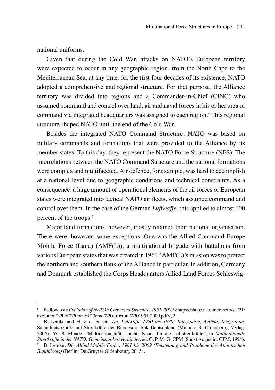national uniforms.

Given that during the Cold War, attacks on NATO's European territory were expected to occur in any geographic region, from the North Cape to the Mediterranean Sea, at any time, for the first four decades of its existence, NATO adopted a comprehensive and regional structure. For that purpose, the Alliance territory was divided into regions and a Commander-in-Chief (CINC) who assumed command and control over land, air and naval forces in his or her area of command via integrated headquarters was assigned to each region.6 This regional structure shaped NATO until the end of the Cold War.

Besides the integrated NATO Command Structure, NATO was based on military commands and formations that were provided to the Alliance by its member states. To this day, they represent the NATO Force Structure (NFS). The interrelations between the NATO Command Structure and the national formations were complex and multifaceted. Air defence, for example, was hard to accomplish at a national level due to geographic conditions and technical constraints. As a consequence, a large amount of operational elements of the air forces of European states were integrated into tactical NATO air fleets, which assumed command and control over them. In the case of the German *Luftwaffe*, this applied to almost 100 percent of the troops.7

Major land formations, however, mostly retained their national organisation. There were, however, some exceptions. One was the Allied Command Europe Mobile Force (Land) (AMF(L)), a multinational brigade with battalions from various European states that was created in 1961.8 AMF(L)'s mission was to protect the northern and southern flank of the Alliance in particular. In addition, Germany and Denmark established the Corps Headquarters Allied Land Forces Schleswig-

<sup>6</sup> Pedlow, *The Evolution of NATO's Command Structure, 1951–2009* <https://shape.nato.int/resources/21/ evolution%20of%20nato%20cmd%20structure%201951-2009.pdf>, 2.

<sup>7</sup> B. Lemke and H. v. d. Felsen, *Die Luftwaffe 1950 bis 1970: Konzeption, Aufbau, Integration*, Sicherheitspolitik und Streitkräfte der Bundesrepublik Deutschland (Munich: R. Oldenbourg Verlag, 2006), 65; B. Mende, "Multinationalität - nichts Neues für die Luftstreitkräfte", in *Multinationale Streitkräfte in der NATO: Gemeinsamkeit verbindet*, ed. C. P. M. G. CPM (Sankt Augustin: CPM, 1994).

<sup>8</sup> B. Lemke, *Die Allied Mobile Force, 1961 bis 2002 (Entstehung und Probleme des Atlantischen Bündnisses)* (Berlin: De Gruyter Oldenbourg, 2015).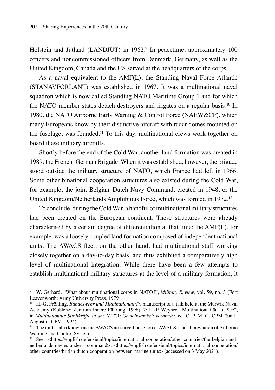Holstein and Jutland (LANDJUT) in 1962.<sup>9</sup> In peacetime, approximately 100 officers and noncommissioned officers from Denmark, Germany, as well as the United Kingdom, Canada and the US served at the headquarters of the corps.

As a naval equivalent to the AMF(L), the Standing Naval Force Atlantic (STANAVFORLANT) was established in 1967. It was a multinational naval squadron which is now called Standing NATO Maritime Group 1 and for which the NATO member states detach destrovers and frigates on a regular basis.<sup>10</sup> In 1980, the NATO Airborne Early Warning & Control Force (NAEW&CF), which many Europeans know by their distinctive aircraft with radar domes mounted on the fuselage, was founded.11 To this day, multinational crews work together on board these military aircrafts.

Shortly before the end of the Cold War, another land formation was created in 1989: the French–German Brigade. When it was established, however, the brigade stood outside the military structure of NATO, which France had left in 1966. Some other binational cooperation structures also existed during the Cold War, for example, the joint Belgian–Dutch Navy Command, created in 1948, or the United Kingdom/Netherlands Amphibious Force, which was formed in 1972.12

To conclude, during the Cold War, a handful of multinational military structures had been created on the European continent. These structures were already characterised by a certain degree of differentiation at that time: the AMF(L), for example, was a loosely coupled land formation composed of independent national units. The AWACS fleet, on the other hand, had multinational staff working closely together on a day-to-day basis, and thus exhibited a comparatively high level of multinational integration. While there have been a few attempts to establish multinational military structures at the level of a military formation, it

<sup>9</sup> W. Gerhard, "What about multinational corps in NATO?", *Military Review*, vol. 59, no. 3 (Fort Leavenworth: Army University Press, 1979).

<sup>10</sup> H.-G. Fröhling, *Bundeswehr und Multinationalität*, manuscript of a talk held at the Mürwik Naval Academy (Koblenz: Zentrum Innere Führung, 1998), 2; H.-P. Weyher, "Multinationalität auf See", in *Multinationale Streitkräfte in der NATO: Gemeinsamkeit verbindet*, ed. C. P. M. G. CPM (Sankt Augustin: CPM, 1994).

 $11$  The unit is also known as the AWACS air surveillance force. AWACS is an abbreviation of Airborne Warning and Control System.

<sup>&</sup>lt;sup>12</sup> See <https://english.defensie.nl/topics/international-cooperation/other-countries/the-belgian-andnetherlands-navies-under-1-command>, <https://english.defensie.nl/topics/international-cooperation/ other-countries/british-dutch-cooperation-between-marine-units> (accessed on 3 May 2021).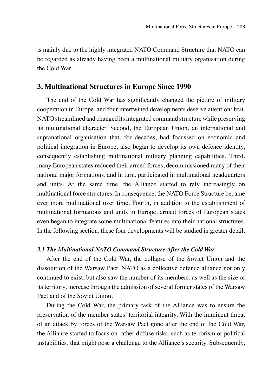is mainly due to the highly integrated NATO Command Structure that NATO can be regarded as already having been a multinational military organisation during the Cold War.

### **3. Multinational Structures in Europe Since 1990**

The end of the Cold War has significantly changed the picture of military cooperation in Europe, and four intertwined developments deserve attention: first, NATO streamlined and changed its integrated command structure while preserving its multinational character. Second, the European Union, an international and supranational organisation that, for decades, had focussed on economic and political integration in Europe, also began to develop its own defence identity, consequently establishing multinational military planning capabilities. Third, many European states reduced their armed forces, decommissioned many of their national major formations, and in turn, participated in multinational headquarters and units. At the same time, the Alliance started to rely increasingly on multinational force structures. In consequence, the NATO Force Structure became ever more multinational over time. Fourth, in addition to the establishment of multinational formations and units in Europe, armed forces of European states even began to integrate some multinational features into their national structures. In the following section, these four developments will be studied in greater detail.

#### *3.1 The Multinational NATO Command Structure After the Cold War*

After the end of the Cold War, the collapse of the Soviet Union and the dissolution of the Warsaw Pact, NATO as a collective defence alliance not only continued to exist, but also saw the number of its members, as well as the size of its territory, increase through the admission of several former states of the Warsaw Pact and of the Soviet Union.

During the Cold War, the primary task of the Alliance was to ensure the preservation of the member states' territorial integrity. With the imminent threat of an attack by forces of the Warsaw Pact gone after the end of the Cold War, the Alliance started to focus on rather diffuse risks, such as terrorism or political instabilities, that might pose a challenge to the Alliance's security. Subsequently,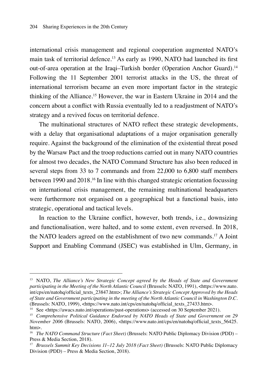international crisis management and regional cooperation augmented NATO's main task of territorial defence.13 As early as 1990, NATO had launched its first out-of-area operation at the Iraqi–Turkish border (Operation Anchor Guard).<sup>14</sup> Following the 11 September 2001 terrorist attacks in the US, the threat of international terrorism became an even more important factor in the strategic thinking of the Alliance.15 However, the war in Eastern Ukraine in 2014 and the concern about a conflict with Russia eventually led to a readjustment of NATO's strategy and a revived focus on territorial defence.

The multinational structures of NATO reflect these strategic developments, with a delay that organisational adaptations of a major organisation generally require. Against the background of the elimination of the existential threat posed by the Warsaw Pact and the troop reductions carried out in many NATO countries for almost two decades, the NATO Command Structure has also been reduced in several steps from 33 to 7 commands and from 22,000 to 6,800 staff members between 1990 and 2018.16 In line with this changed strategic orientation focussing on international crisis management, the remaining multinational headquarters were furthermore not organised on a geographical but a functional basis, into strategic, operational and tactical levels.

In reaction to the Ukraine conflict, however, both trends, i.e., downsizing and functionalisation, were halted, and to some extent, even reversed. In 2018, the NATO leaders agreed on the establishment of two new commands.17 A Joint Support and Enabling Command (JSEC) was established in Ulm, Germany, in

<sup>&</sup>lt;sup>13</sup> NATO, *The Alliance's New Strategic Concept agreed by the Heads of State and Government participating in the Meeting of the North Atlantic Council* (Brussels: NATO, 1991), <https://www.nato. int/cps/en/natohq/official\_texts\_23847.htm>; *The Alliance's Strategic Concept Approved by the Heads of State and Government participating in the meeting of the North Atlantic Council in Washington D.C.* (Brussels: NATO, 1999), <https://www.nato.int/cps/en/natohq/official\_texts\_27433.htm>.

<sup>&</sup>lt;sup>14</sup> See <https://awacs.nato.int/operations/past-operations> (accessed on 30 September 2021).

<sup>15</sup> *Comprehensive Political Guidance Endorsed by NATO Heads of State and Government on 29 November 2006* (Brussels: NATO, 2006), <https://www.nato.int/cps/en/natohq/official\_texts\_56425. htm>.

<sup>16</sup> *The NATO Command Structure (Fact Sheet)* (Brussels: NATO Public Diplomacy Division (PDD) – Press & Media Section, 2018).

<sup>17</sup> *Brussels Summit Key Decisions 11–12 July 2018 (Fact Sheet)* (Brussels: NATO Public Diplomacy Division (PDD) – Press & Media Section, 2018).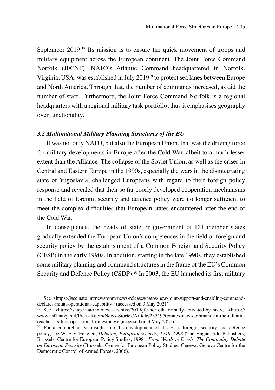September 2019.<sup>18</sup> Its mission is to ensure the quick movement of troops and military equipment across the European continent. The Joint Force Command Norfolk (JFCNF), NATO's Atlantic Command headquartered in Norfolk, Virginia, USA, was established in July 201919 to protect sea lanes between Europe and North America. Through that, the number of commands increased, as did the number of staff. Furthermore, the Joint Force Command Norfolk is a regional headquarters with a regional military task portfolio, thus it emphasises geography over functionality.

#### *3.2 Multinational Military Planning Structures of the EU*

It was not only NATO, but also the European Union, that was the driving force for military developments in Europe after the Cold War, albeit to a much lesser extent than the Alliance. The collapse of the Soviet Union, as well as the crises in Central and Eastern Europe in the 1990s, especially the wars in the disintegrating state of Yugoslavia, challenged Europeans with regard to their foreign policy response and revealed that their so far poorly developed cooperation mechanisms in the field of foreign, security and defence policy were no longer sufficient to meet the complex difficulties that European states encountered after the end of the Cold War.

In consequence, the heads of state or government of EU member states gradually extended the European Union's competences in the field of foreign and security policy by the establishment of a Common Foreign and Security Policy (CFSP) in the early 1990s. In addition, starting in the late 1990s, they established some military planning and command structures in the frame of the EU's Common Security and Defence Policy (CSDP).<sup>20</sup> In 2003, the EU launched its first military

<sup>&</sup>lt;sup>18</sup> See <https://jsec.nato.int/newsroom/news-releases/natos-new-joint-support-and-enabling-commanddeclares-initial-operational-capability> (accessed on 3 May 2021).

<sup>19</sup> See <https://shape.nato.int/news-archive/2019/jfc-norfolk-formally-activated-by-nac>, <https:// www.usff.navy.mil/Press-Room/News-Stories/Article/2351970/natos-new-command-in-the-atlanticreaches-its-first-operational-milestone/> (accessed on 3 May 2021).

 $20$  For a comprehensive insight into the development of the EU's foreign, security and defence policy, see W. F. v. Eekelen, *Debating European security, 1948–1998* (The Hague: Sdu Publishers; Brussels: Centre for European Policy Studies, 1998); *From Words to Deeds: The Continuing Debate on European Security* (Brussels: Centre for European Policy Studies; Geneva: Geneva Centre for the Democratic Control of Armed Forces, 2006).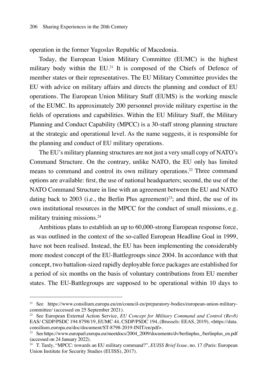operation in the former Yugoslav Republic of Macedonia.

Today, the European Union Military Committee (EUMC) is the highest military body within the EU.<sup>21</sup> It is composed of the Chiefs of Defence of member states or their representatives. The EU Military Committee provides the EU with advice on military affairs and directs the planning and conduct of EU operations. The European Union Military Staff (EUMS) is the working muscle of the EUMC. Its approximately 200 personnel provide military expertise in the fields of operations and capabilities. Within the EU Military Staff, the Military Planning and Conduct Capability (MPCC) is a 30-staff strong planning structure at the strategic and operational level. As the name suggests, it is responsible for the planning and conduct of EU military operations.

The EU's military planning structures are not just a very small copy of NATO's Command Structure. On the contrary, unlike NATO, the EU only has limited means to command and control its own military operations.22 Three command options are available: first, the use of national headquarters; second, the use of the NATO Command Structure in line with an agreement between the EU and NATO dating back to 2003 (i.e., the Berlin Plus agreement)<sup>23</sup>; and third, the use of its own institutional resources in the MPCC for the conduct of small missions, e.g. military training missions.24

Ambitious plans to establish an up to 60,000-strong European response force, as was outlined in the context of the so-called European Headline Goal in 1999, have not been realised. Instead, the EU has been implementing the considerably more modest concept of the EU-Battlegroups since 2004. In accordance with that concept, two battalion-sized rapidly deployable force packages are established for a period of six months on the basis of voluntary contributions from EU member states. The EU-Battlegroups are supposed to be operational within 10 days to

<sup>21</sup> See https://www.consilium.europa.eu/en/council-eu/preparatory-bodies/european-union-militarycommittee/ (accessed on 25 September 2021).

<sup>22</sup> See European External Action Service, *EU Concept for Military Command and Control (Rev8)* EAS/ CSDP/PSDC 194 8798/19, EUMC 44, CSDP/PSDC 194, (Brussels: EEAS, 2019), <https://data. consilium.europa.eu/doc/document/ST-8798-2019-INIT/en/pdf>.

<sup>&</sup>lt;sup>23</sup> See https://www.europarl.europa.eu/meetdocs/2004\_2009/documents/dv/berlinplus\_/berlinplus\_en.pdf (accessed on 24 January 2022).

<sup>24</sup> T. Tardy, "MPCC: towards an EU military command?", *EUISS Brief Issue*, no. 17 (Paris: European Union Institute for Security Studies (EUISS), 2017).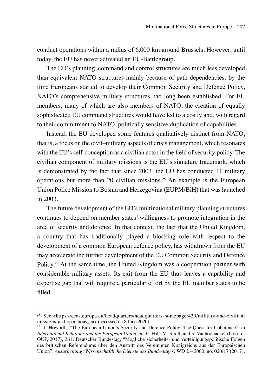conduct operations within a radius of 6,000 km around Brussels. However, until today, the EU has never activated an EU-Battlegroup.

The EU's planning, command and control structures are much less developed than equivalent NATO structures mainly because of path dependencies: by the time Europeans started to develop their Common Security and Defence Policy, NATO's comprehensive military structures had long been established. For EU members, many of which are also members of NATO, the creation of equally sophisticated EU command structures would have led to a costly and, with regard to their commitment to NATO, politically sensitive duplication of capabilities.

Instead, the EU developed some features qualitatively distinct from NATO, that is, a focus on the civil–military aspects of crisis management, which resonates with the EU's self-conception as a civilian actor in the field of security policy. The civilian component of military missions is the EU's signature trademark, which is demonstrated by the fact that since 2003, the EU has conducted 11 military operations but more than 20 civilian missions.25 An example is the European Union Police Mission to Bosnia and Herzegovina (EUPM/BiH) that was launched in 2003.

The future development of the EU's multinational military planning structures continues to depend on member states' willingness to promote integration in the area of security and defence. In that context, the fact that the United Kingdom, a country that has traditionally played a blocking role with respect to the development of a common European defence policy, has withdrawn from the EU may accelerate the further development of the EU Common Security and Defence Policy.<sup>26</sup> At the same time, the United Kingdom was a cooperation partner with considerable military assets. Its exit from the EU thus leaves a capability and expertise gap that will require a particular effort by the EU member states to be filled.

<sup>&</sup>lt;sup>25</sup> See <https://eeas.europa.eu/headquarters/headquarters-homepage/430/military-and-civilianmissions-and-operations  $\text{en}$  (accessed on 8 June 2020).

<sup>&</sup>lt;sup>26</sup> J. Howorth, "The European Union's Security and Defence Policy: The Quest for Coherence", in *International Relations and the European Union*, ed. C. Hill, M. Smith and S. Vanhoonacker (Oxford: OUP, 2017), 361; Deutscher Bundestag, "Mögliche sicherheits- und verteidigungspolitische Folgen des britischen Referendums über den Austritt des Vereinigten Königreichs aus der Europäischen Union", *Ausarbeitung (Wissenschaftliche Dienste des Bundestages)* WD 2 – 3000, no. 020/17 (2017).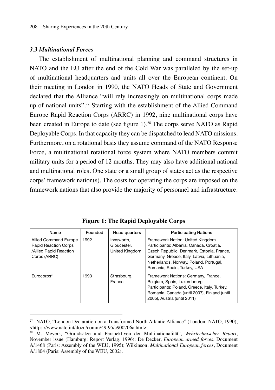#### *3.3 Multinational Forces*

The establishment of multinational planning and command structures in NATO and the EU after the end of the Cold War was paralleled by the set-up of multinational headquarters and units all over the European continent. On their meeting in London in 1990, the NATO Heads of State and Government declared that the Alliance "will rely increasingly on multinational corps made up of national units".27 Starting with the establishment of the Allied Command Europe Rapid Reaction Corps (ARRC) in 1992, nine multinational corps have been created in Europe to date (see figure 1).<sup>28</sup> The corps serve NATO as Rapid Deployable Corps. In that capacity they can be dispatched to lead NATO missions. Furthermore, on a rotational basis they assume command of the NATO Response Force, a multinational rotational force system where NATO members commit military units for a period of 12 months. They may also have additional national and multinational roles. One state or a small group of states act as the respective corps' framework nation(s). The costs for operating the corps are imposed on the framework nations that also provide the majority of personnel and infrastructure.

| Name                                                                                                  | Founded | Head quarters                               | <b>Participating Nations</b>                                                                                                                                                                                                                    |
|-------------------------------------------------------------------------------------------------------|---------|---------------------------------------------|-------------------------------------------------------------------------------------------------------------------------------------------------------------------------------------------------------------------------------------------------|
| <b>Allied Command Europe</b><br><b>Rapid Reaction Corps</b><br>/Allied Rapid Reaction<br>Corps (ARRC) | 1992    | Innsworth.<br>Gloucester.<br>United Kingdom | Framework Nation: United Kingdom<br>Participants: Albania, Canada, Croatia,<br>Czech Republic, Denmark, Estonia, France,<br>Germany, Greece, Italy, Latvia, Lithuania,<br>Netherlands, Norway, Poland, Portugal,<br>Romania, Spain, Turkey, USA |
| Eurocorps*                                                                                            | 1993    | Strasbourg,<br>France                       | Framework Nations: Germany, France,<br>Belgium, Spain, Luxembourg<br>Participants: Poland, Greece, Italy, Turkey,<br>Romania, Canada (until 2007), Finland (until<br>2005), Austria (until 2011)                                                |

**Figure 1: The Rapid Deployable Corps**

<sup>27</sup> NATO, "London Declaration on a Transformed North Atlantic Alliance" (London: NATO, 1990), <https://www.nato.int/docu/comm/49-95/c900706a.htm>.

<sup>28</sup> M. Meyers, "Grundsätze und Perspektiven der Multinationalität", *Wehrtechnischer Report*, November issue (Hamburg: Report Verlag, 1996); De Decker, *European armed forces*, Document A/1468 (Paris: Assembly of the WEU, 1995); Wilkinson, *Multinational European forces*, Document A/1804 (Paris: Assembly of the WEU, 2002).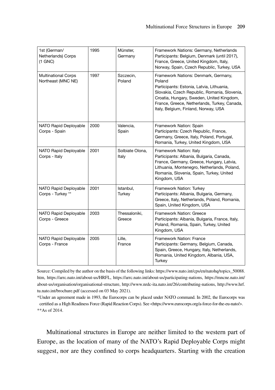| 1st (German/<br>Netherlands) Corps<br>$(1$ GNC $)$ | 1995 | Münster,<br>Germany      | Framework Nations: Germany, Netherlands<br>Participants: Belgium, Denmark (until 2017),<br>France, Greece, United Kingdom, Italy,<br>Norway, Spain, Czech Republic, Turkey, USA                                                                                                  |
|----------------------------------------------------|------|--------------------------|----------------------------------------------------------------------------------------------------------------------------------------------------------------------------------------------------------------------------------------------------------------------------------|
| <b>Multinational Corps</b><br>Northeast (MNC NE)   | 1997 | Szczecin.<br>Poland      | Framework Nations: Denmark, Germany,<br>Poland<br>Participants: Estonia, Latvia, Lithuania,<br>Slovakia, Czech Republic, Romania, Slovenia,<br>Croatia, Hungary, Sweden, United Kingdom,<br>France, Greece, Netherlands, Turkey, Canada,<br>Italy, Belgium, Finland, Norway, USA |
| NATO Rapid Deployable<br>Corps - Spain             | 2000 | Valencia.<br>Spain       | Framework Nation: Spain<br>Participants: Czech Republic, France,<br>Germany, Greece, Italy, Poland, Portugal,<br>Romania, Turkey, United Kingdom, USA                                                                                                                            |
| NATO Rapid Deployable<br>Corps - Italy             | 2001 | Solbiate Olona.<br>Italy | Framework Nation: Italy<br>Participants: Albania, Bulgaria, Canada,<br>France, Germany, Greece, Hungary, Latvia,<br>Lithuania, Montenegro, Netherlands, Poland,<br>Romania, Slovenia, Spain, Turkey, United<br>Kingdom, USA                                                      |
| <b>NATO Rapid Deployable</b><br>Corps - Turkey **  | 2001 | Istanbul.<br>Turkey      | Framework Nation: Turkey<br>Participants: Albania, Bulgaria, Germany,<br>Greece, Italy, Netherlands, Poland, Romania,<br>Spain, United Kingdom, USA                                                                                                                              |
| NATO Rapid Deployable<br>Corps - Greece            | 2003 | Thessaloniki.<br>Greece  | Framework Nation: Greece<br>Participants: Albania, Bulgaria, France, Italy,<br>Poland, Romania, Spain, Turkey, United<br>Kingdom, USA                                                                                                                                            |
| NATO Rapid Deployable<br>Corps - France            | 2005 | Lille.<br>France         | Framework Nation: France<br>Participants: Germany, Belgium, Canada,<br>Spain, Greece, Hungary, Italy, Netherlands,<br>Romania, United Kingdom, Albania, USA,<br>Turkey                                                                                                           |

Source: Compiled by the author on the basis of the following links: https://www.nato.int/cps/en/natohq/topics\_50088. htm, https://arrc.nato.int/about-us/HRFL, https://arrc.nato.int/about-us/participating-nations, https://mncne.nato.int/ about-us/organisation/organisational-structure, http://www.nrdc-ita.nato.int/26/contributing-nations, http://www.hrf. tu.nato.int/brochure.pdf (accessed on 03 May 2021).

\*Under an agreement made in 1993, the Eurocorps can be placed under NATO command. In 2002, the Eurocorps was certified as a High Readiness Force (Rapid Reaction Corps). See <https://www.eurocorps.org/a-force-for-the-eu-nato/>. \*\*As of 2014.

Multinational structures in Europe are neither limited to the western part of Europe, as the location of many of the NATO's Rapid Deployable Corps might suggest, nor are they confined to corps headquarters. Starting with the creation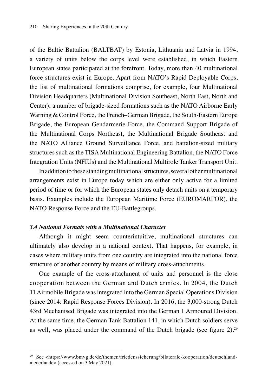of the Baltic Battalion (BALTBAT) by Estonia, Lithuania and Latvia in 1994, a variety of units below the corps level were established, in which Eastern European states participated at the forefront. Today, more than 40 multinational force structures exist in Europe. Apart from NATO's Rapid Deployable Corps, the list of multinational formations comprise, for example, four Multinational Division Headquarters (Multinational Division Southeast, North East, North and Center); a number of brigade-sized formations such as the NATO Airborne Early Warning & Control Force, the French–German Brigade, the South-Eastern Europe Brigade, the European Gendarmerie Force, the Command Support Brigade of the Multinational Corps Northeast, the Multinational Brigade Southeast and the NATO Alliance Ground Surveillance Force, and battalion-sized military structures such as the TISA Multinational Engineering Battalion, the NATO Force Integration Units (NFIUs) and the Multinational Multirole Tanker Transport Unit.

In addition to these standing multinational structures, several other multinational arrangements exist in Europe today which are either only active for a limited period of time or for which the European states only detach units on a temporary basis. Examples include the European Maritime Force (EUROMARFOR), the NATO Response Force and the EU-Battlegroups.

#### *3.4 National Formats with a Multinational Character*

Although it might seem counterintuitive, multinational structures can ultimately also develop in a national context. That happens, for example, in cases where military units from one country are integrated into the national force structure of another country by means of military cross-attachments.

One example of the cross-attachment of units and personnel is the close cooperation between the German and Dutch armies. In 2004, the Dutch 11 Airmobile Brigade was integrated into the German Special Operations Division (since 2014: Rapid Response Forces Division). In 2016, the 3,000-strong Dutch 43rd Mechanised Brigade was integrated into the German 1 Armoured Division. At the same time, the German Tank Battalion 141, in which Dutch soldiers serve as well, was placed under the command of the Dutch brigade (see figure 2).<sup>29</sup>

<sup>&</sup>lt;sup>29</sup> See <https://www.bmvg.de/de/themen/friedenssicherung/bilaterale-kooperation/deutschlandniederlande> (accessed on 3 May 2021).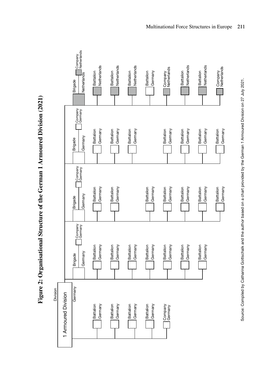

Figure 2: Organisational Structure of the German 1 Armoured Division (2021) **Figure 2: Organisational Structure of the German 1 Armoured Division (2021)**

Source: Compiled by Catharina Gottschalk and the author based on a chart provided by the German 1 Armoured Division on 27 July 2021. Source: Compiled by Catharina Gottschalk and the author based on a chart provided by the German 1 Armoured Division on 27 July 2021.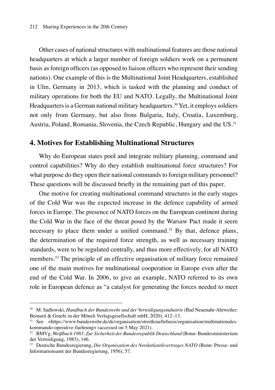Other cases of national structures with multinational features are those national headquarters at which a larger number of foreign soldiers work on a permanent basis as foreign officers (as opposed to liaison officers who represent their sending nations). One example of this is the Multinational Joint Headquarters, established in Ulm, Germany in 2013, which is tasked with the planning and conduct of military operations for both the EU and NATO. Legally, the Multinational Joint Headquarters is a German national military headquarters.<sup>30</sup> Yet, it employs soldiers not only from Germany, but also from Bulgaria, Italy, Croatia, Luxemburg, Austria, Poland, Romania, Slovenia, the Czech Republic, Hungary and the US.<sup>31</sup>

#### **4. Motives for Establishing Multinational Structures**

Why do European states pool and integrate military planning, command and control capabilities? Why do they establish multinational force structures? For what purpose do they open their national commands to foreign military personnel? These questions will be discussed briefly in the remaining part of this paper.

One motive for creating multinational command structures in the early stages of the Cold War was the expected increase in the defence capability of armed forces in Europe. The presence of NATO forces on the European continent during the Cold War in the face of the threat posed by the Warsaw Pact made it seem necessary to place them under a unified command.<sup>32</sup> By that, defence plans, the determination of the required force strength, as well as necessary training standards, were to be regulated centrally, and thus more effectively, for all NATO members.33 The principle of an effective organisation of military force remained one of the main motives for multinational cooperation in Europe even after the end of the Cold War. In 2006, to give an example, NATO referred to its own role in European defence as "a catalyst for generating the forces needed to meet

<sup>30</sup> M. Sadlowski, *Handbuch der Bundeswehr und der Verteidigungsindustrie* (Bad Neuenahr-Ahrweiler: Bernard & Graefe in der Mönch Verlagsgesellschaft mbH, 2020), 412–13.

<sup>&</sup>lt;sup>31</sup> See <https://www.bundeswehr.de/de/organisation/streitkraeftebasis/organisation/multinationaleskommando-operative-fuehrung> (accessed on 5 May 2021).

<sup>32</sup> BMVg, *Weißbuch 1983. Zur Sicherheit der Bundesrepublik Deutschland* (Bonn: Bundesministerium der Verteidigung, 1983), 146.

<sup>33</sup> Deutsche Bundesregierung, *Die Organisation des Nordatlantikvertrages NATO* (Bonn: Presse- und Informationsamt der Bundesregierung, 1956), 57.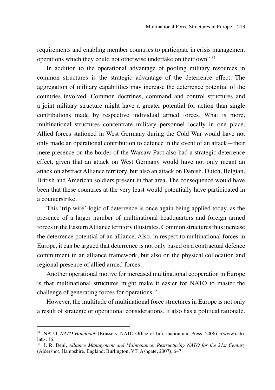requirements and enabling member countries to participate in crisis management operations which they could not otherwise undertake on their own".34

In addition to the operational advantage of pooling military resources in common structures is the strategic advantage of the deterrence effect. The aggregation of military capabilities may increase the deterrence potential of the countries involved. Common doctrines, command and control structures and a joint military structure might have a greater potential for action than single contributions made by respective individual armed forces. What is more, multinational structures concentrate military personnel locally in one place. Allied forces stationed in West Germany during the Cold War would have not only made an operational contribution to defence in the event of an attack—their mere presence on the border of the Warsaw Pact also had a strategic deterrence effect, given that an attack on West Germany would have not only meant an attack on abstract Alliance territory, but also an attack on Danish, Dutch, Belgian, British and American soldiers present in that area. The consequence would have been that these countries at the very least would potentially have participated in a counterstrike.

This 'trip wire'-logic of deterrence is once again being applied today, as the presence of a larger number of multinational headquarters and foreign armed forces in the Eastern Alliance territory illustrates. Common structures thus increase the deterrence potential of an alliance. Also, in respect to multinational forces in Europe, it can be argued that deterrence is not only based on a contractual defence commitment in an alliance framework, but also on the physical collocation and regional presence of allied armed forces.

Another operational motive for increased multinational cooperation in Europe is that multinational structures might make it easier for NATO to master the challenge of generating forces for operations.<sup>35</sup>

However, the multitude of multinational force structures in Europe is not only a result of strategic or operational considerations. It also has a political rationale.

<sup>34</sup> NATO, *NATO Handbook* (Brussels: NATO Office of Information and Press, 2006), <www.nato.  $int$  $>$  16.

<sup>35</sup> J. R. Deni, *Alliance Management and Maintenance: Restructuring NATO for the 21st Century* (Aldershot, Hampshire, England; Burlington, VT: Ashgate, 2007), 6–7.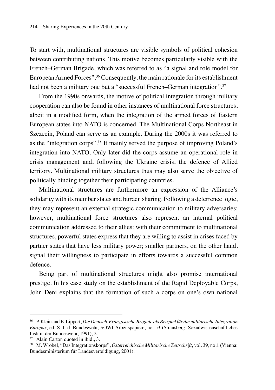To start with, multinational structures are visible symbols of political cohesion between contributing nations. This motive becomes particularly visible with the French–German Brigade, which was referred to as "a signal and role model for European Armed Forces".<sup>36</sup> Consequently, the main rationale for its establishment had not been a military one but a "successful French–German integration".<sup>37</sup>

From the 1990s onwards, the motive of political integration through military cooperation can also be found in other instances of multinational force structures, albeit in a modified form, when the integration of the armed forces of Eastern European states into NATO is concerned. The Multinational Corps Northeast in Szczecin, Poland can serve as an example. During the 2000s it was referred to as the "integration corps".38 It mainly served the purpose of improving Poland's integration into NATO. Only later did the corps assume an operational role in crisis management and, following the Ukraine crisis, the defence of Allied territory. Multinational military structures thus may also serve the objective of politically binding together their participating countries.

Multinational structures are furthermore an expression of the Alliance's solidarity with its member states and burden sharing. Following a deterrence logic, they may represent an external strategic communication to military adversaries; however, multinational force structures also represent an internal political communication addressed to their allies: with their commitment to multinational structures, powerful states express that they are willing to assist in crises faced by partner states that have less military power; smaller partners, on the other hand, signal their willingness to participate in efforts towards a successful common defence.

Being part of multinational structures might also promise international prestige. In his case study on the establishment of the Rapid Deployable Corps, John Deni explains that the formation of such a corps on one's own national

<sup>36</sup> P. Klein and E. Lippert, *Die Deutsch-Französische Brigade als Beispiel für die militärische Integration Europas*, ed. S. I. d. Bundeswehr, SOWI-Arbeitspapiere, no. 53 (Strausberg: Sozialwissenschaftliches Institut der Bundeswehr, 1991), 2.

<sup>&</sup>lt;sup>37</sup> Alain Carton quoted in ibid., 3.

<sup>38</sup> M. Wróbel, "Das Integrationskorps", *Österreichische Militärische Zeitschrift*, vol. 39, no.1 (Vienna: Bundesministerium für Landesverteidigung, 2001).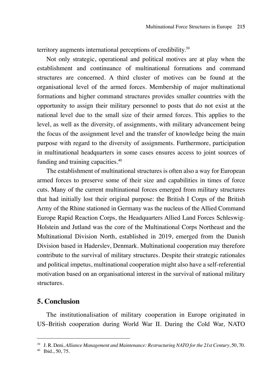territory augments international perceptions of credibility.<sup>39</sup>

Not only strategic, operational and political motives are at play when the establishment and continuance of multinational formations and command structures are concerned. A third cluster of motives can be found at the organisational level of the armed forces. Membership of major multinational formations and higher command structures provides smaller countries with the opportunity to assign their military personnel to posts that do not exist at the national level due to the small size of their armed forces. This applies to the level, as well as the diversity, of assignments, with military advancement being the focus of the assignment level and the transfer of knowledge being the main purpose with regard to the diversity of assignments. Furthermore, participation in multinational headquarters in some cases ensures access to joint sources of funding and training capacities.<sup>40</sup>

The establishment of multinational structures is often also a way for European armed forces to preserve some of their size and capabilities in times of force cuts. Many of the current multinational forces emerged from military structures that had initially lost their original purpose: the British I Corps of the British Army of the Rhine stationed in Germany was the nucleus of the Allied Command Europe Rapid Reaction Corps, the Headquarters Allied Land Forces Schleswig-Holstein and Jutland was the core of the Multinational Corps Northeast and the Multinational Division North, established in 2019, emerged from the Danish Division based in Haderslev, Denmark. Multinational cooperation may therefore contribute to the survival of military structures. Despite their strategic rationales and political impetus, multinational cooperation might also have a self-referential motivation based on an organisational interest in the survival of national military structures.

## **5. Conclusion**

The institutionalisation of military cooperation in Europe originated in US–British cooperation during World War II. During the Cold War, NATO

<sup>39</sup> J. R. Deni, *Alliance Management and Maintenance: Restructuring NATO for the 21st Century*, 50, 70.

<sup>40</sup> Ibid., 50, 75.